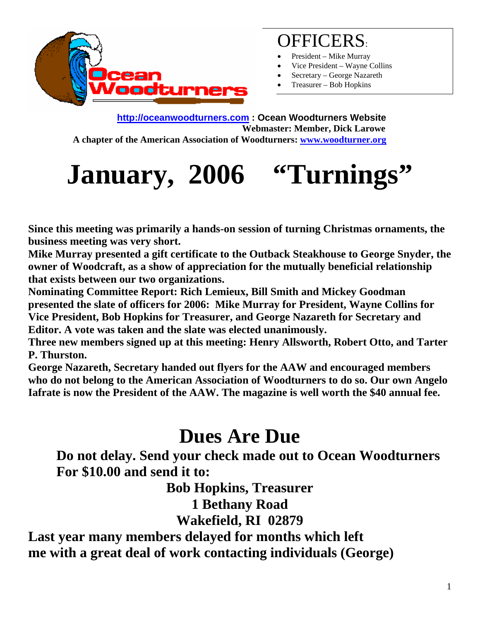

### OFFICERS:

- President Mike Murray
- Vice President Wayne Collins
- Secretary George Nazareth
- Treasurer Bob Hopkins

**http://oceanwoodturners.com : Ocean Woodturners Website Webmaster: Member, Dick Larowe A chapter of the American Association of Woodturners: www.woodturner.org** 

# January, 2006 "Turnings"

**Since this meeting was primarily a hands-on session of turning Christmas ornaments, the business meeting was very short.** 

**Mike Murray presented a gift certificate to the Outback Steakhouse to George Snyder, the owner of Woodcraft, as a show of appreciation for the mutually beneficial relationship that exists between our two organizations.** 

**Nominating Committee Report: Rich Lemieux, Bill Smith and Mickey Goodman presented the slate of officers for 2006: Mike Murray for President, Wayne Collins for Vice President, Bob Hopkins for Treasurer, and George Nazareth for Secretary and Editor. A vote was taken and the slate was elected unanimously.** 

**Three new members signed up at this meeting: Henry Allsworth, Robert Otto, and Tarter P. Thurston.** 

**George Nazareth, Secretary handed out flyers for the AAW and encouraged members who do not belong to the American Association of Woodturners to do so. Our own Angelo Iafrate is now the President of the AAW. The magazine is well worth the \$40 annual fee.** 

## **Dues Are Due**

**Do not delay. Send your check made out to Ocean Woodturners For \$10.00 and send it to:** 

**Bob Hopkins, Treasurer** 

**1 Bethany Road** 

**Wakefield, RI 02879** 

**Last year many members delayed for months which left me with a great deal of work contacting individuals (George)**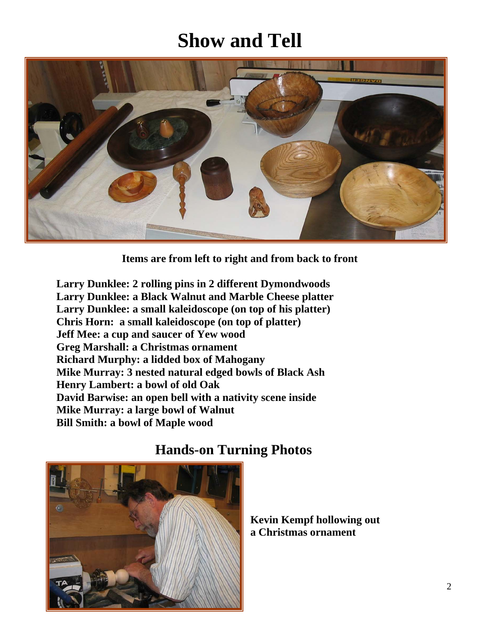# **Show and Tell**



**Items are from left to right and from back to front** 

**Larry Dunklee: 2 rolling pins in 2 different Dymondwoods Larry Dunklee: a Black Walnut and Marble Cheese platter Larry Dunklee: a small kaleidoscope (on top of his platter) Chris Horn: a small kaleidoscope (on top of platter) Jeff Mee: a cup and saucer of Yew wood Greg Marshall: a Christmas ornament Richard Murphy: a lidded box of Mahogany Mike Murray: 3 nested natural edged bowls of Black Ash Henry Lambert: a bowl of old Oak David Barwise: an open bell with a nativity scene inside Mike Murray: a large bowl of Walnut Bill Smith: a bowl of Maple wood** 



#### **Hands-on Turning Photos**

**Kevin Kempf hollowing out a Christmas ornament**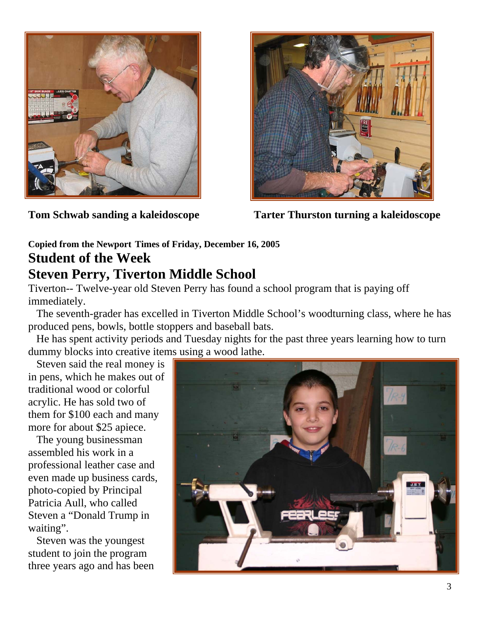

**Tom Schwab sanding a kaleidoscope Tarter Thurston turning a kaleidoscope** 

#### **Copied from the Newport Times of Friday, December 16, 2005 Student of the Week Steven Perry, Tiverton Middle School**

Tiverton-- Twelve-year old Steven Perry has found a school program that is paying off immediately.

 The seventh-grader has excelled in Tiverton Middle School's woodturning class, where he has produced pens, bowls, bottle stoppers and baseball bats.

 He has spent activity periods and Tuesday nights for the past three years learning how to turn dummy blocks into creative items using a wood lathe.

 Steven said the real money is in pens, which he makes out of traditional wood or colorful acrylic. He has sold two of them for \$100 each and many more for about \$25 apiece.

 The young businessman assembled his work in a professional leather case and even made up business cards, photo-copied by Principal Patricia Aull, who called Steven a "Donald Trump in waiting".

 Steven was the youngest student to join the program three years ago and has been